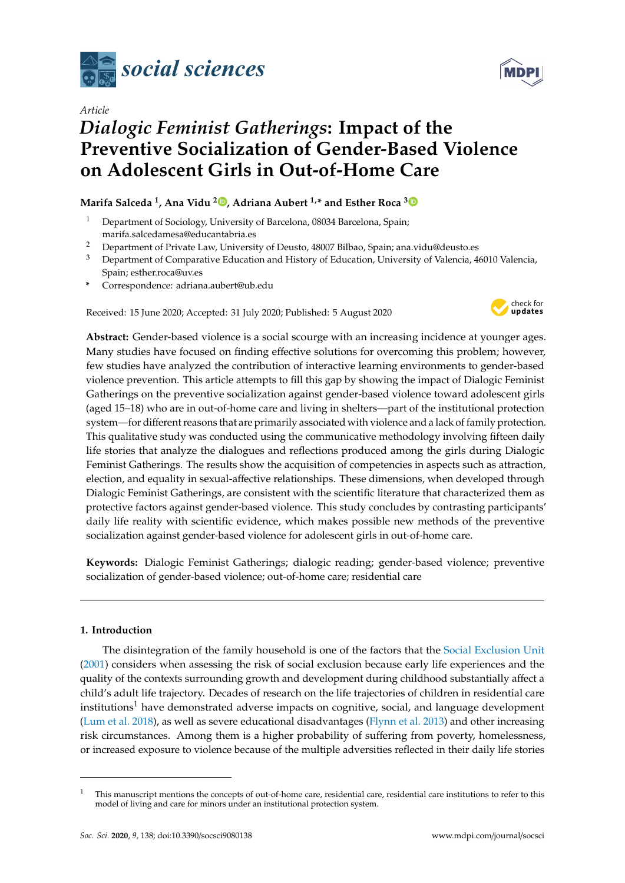

*Article Dialogic Feminist Gatherings***: Impact of the Preventive Socialization of Gender-Based Violence on Adolescent Girls in Out-of-Home Care**

# **Marifa Salceda <sup>1</sup> , Ana Vidu [2](https://orcid.org/0000-0001-9844-6809) , Adriana Aubert 1,\* and Esther Roca [3](https://orcid.org/0000-0003-4500-8666)**

- <sup>1</sup> Department of Sociology, University of Barcelona, 08034 Barcelona, Spain; marifa.salcedamesa@educantabria.es
- <sup>2</sup> Department of Private Law, University of Deusto, 48007 Bilbao, Spain; ana.vidu@deusto.es
- <sup>3</sup> Department of Comparative Education and History of Education, University of Valencia, 46010 Valencia, Spain; esther.roca@uv.es
- **\*** Correspondence: adriana.aubert@ub.edu

Received: 15 June 2020; Accepted: 31 July 2020; Published: 5 August 2020



**Abstract:** Gender-based violence is a social scourge with an increasing incidence at younger ages. Many studies have focused on finding effective solutions for overcoming this problem; however, few studies have analyzed the contribution of interactive learning environments to gender-based violence prevention. This article attempts to fill this gap by showing the impact of Dialogic Feminist Gatherings on the preventive socialization against gender-based violence toward adolescent girls (aged 15–18) who are in out-of-home care and living in shelters—part of the institutional protection system—for different reasons that are primarily associated with violence and a lack of family protection. This qualitative study was conducted using the communicative methodology involving fifteen daily life stories that analyze the dialogues and reflections produced among the girls during Dialogic Feminist Gatherings. The results show the acquisition of competencies in aspects such as attraction, election, and equality in sexual-affective relationships. These dimensions, when developed through Dialogic Feminist Gatherings, are consistent with the scientific literature that characterized them as protective factors against gender-based violence. This study concludes by contrasting participants' daily life reality with scientific evidence, which makes possible new methods of the preventive socialization against gender-based violence for adolescent girls in out-of-home care.

**Keywords:** Dialogic Feminist Gatherings; dialogic reading; gender-based violence; preventive socialization of gender-based violence; out-of-home care; residential care

## **1. Introduction**

The disintegration of the family household is one of the factors that the [Social Exclusion Unit](#page-15-0) [\(2001\)](#page-15-0) considers when assessing the risk of social exclusion because early life experiences and the quality of the contexts surrounding growth and development during childhood substantially affect a child's adult life trajectory. Decades of research on the life trajectories of children in residential care institutions<sup>1</sup> have demonstrated adverse impacts on cognitive, social, and language development [\(Lum et al.](#page-14-0) [2018\)](#page-14-0), as well as severe educational disadvantages [\(Flynn et al.](#page-14-1) [2013\)](#page-14-1) and other increasing risk circumstances. Among them is a higher probability of suffering from poverty, homelessness, or increased exposure to violence because of the multiple adversities reflected in their daily life stories



<sup>1</sup> This manuscript mentions the concepts of out-of-home care, residential care, residential care institutions to refer to this model of living and care for minors under an institutional protection system.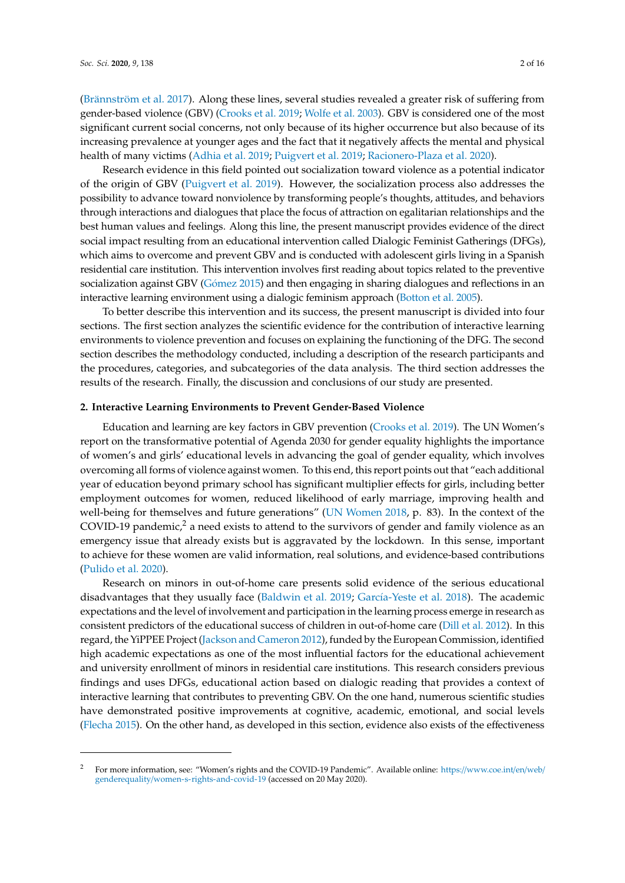[\(Brännström et al.](#page-13-0) [2017\)](#page-13-0). Along these lines, several studies revealed a greater risk of suffering from gender-based violence (GBV) [\(Crooks et al.](#page-13-1) [2019;](#page-13-1) [Wolfe et al.](#page-15-1) [2003\)](#page-15-1). GBV is considered one of the most significant current social concerns, not only because of its higher occurrence but also because of its increasing prevalence at younger ages and the fact that it negatively affects the mental and physical health of many victims [\(Adhia et al.](#page-13-2) [2019;](#page-13-2) [Puigvert et al.](#page-14-2) [2019;](#page-14-2) [Racionero-Plaza et al.](#page-14-3) [2020\)](#page-14-3).

Research evidence in this field pointed out socialization toward violence as a potential indicator of the origin of GBV [\(Puigvert et al.](#page-14-2) [2019\)](#page-14-2). However, the socialization process also addresses the possibility to advance toward nonviolence by transforming people's thoughts, attitudes, and behaviors through interactions and dialogues that place the focus of attraction on egalitarian relationships and the best human values and feelings. Along this line, the present manuscript provides evidence of the direct social impact resulting from an educational intervention called Dialogic Feminist Gatherings (DFGs), which aims to overcome and prevent GBV and is conducted with adolescent girls living in a Spanish residential care institution. This intervention involves first reading about topics related to the preventive socialization against GBV (Gó[mez](#page-14-4) [2015\)](#page-14-4) and then engaging in sharing dialogues and reflections in an interactive learning environment using a dialogic feminism approach [\(Botton et al.](#page-13-3) [2005\)](#page-13-3).

To better describe this intervention and its success, the present manuscript is divided into four sections. The first section analyzes the scientific evidence for the contribution of interactive learning environments to violence prevention and focuses on explaining the functioning of the DFG. The second section describes the methodology conducted, including a description of the research participants and the procedures, categories, and subcategories of the data analysis. The third section addresses the results of the research. Finally, the discussion and conclusions of our study are presented.

### **2. Interactive Learning Environments to Prevent Gender-Based Violence**

Education and learning are key factors in GBV prevention [\(Crooks et al.](#page-13-1) [2019\)](#page-13-1). The UN Women's report on the transformative potential of Agenda 2030 for gender equality highlights the importance of women's and girls' educational levels in advancing the goal of gender equality, which involves overcoming all forms of violence against women. To this end, this report points out that "each additional year of education beyond primary school has significant multiplier effects for girls, including better employment outcomes for women, reduced likelihood of early marriage, improving health and well-being for themselves and future generations" [\(UN Women](#page-15-2) [2018,](#page-15-2) p. 83). In the context of the COVID-19 pandemic, $^2$  a need exists to attend to the survivors of gender and family violence as an emergency issue that already exists but is aggravated by the lockdown. In this sense, important to achieve for these women are valid information, real solutions, and evidence-based contributions [\(Pulido et al.](#page-14-5) [2020\)](#page-14-5).

Research on minors in out-of-home care presents solid evidence of the serious educational disadvantages that they usually face [\(Baldwin et al.](#page-13-4) [2019;](#page-13-4) Garcí[a-Yeste et al.](#page-14-6) [2018\)](#page-14-6). The academic expectations and the level of involvement and participation in the learning process emerge in research as consistent predictors of the educational success of children in out-of-home care [\(Dill et al.](#page-13-5) [2012\)](#page-13-5). In this regard, the YiPPEE Project [\(Jackson and Cameron](#page-14-7) [2012\)](#page-14-7), funded by the European Commission, identified high academic expectations as one of the most influential factors for the educational achievement and university enrollment of minors in residential care institutions. This research considers previous findings and uses DFGs, educational action based on dialogic reading that provides a context of interactive learning that contributes to preventing GBV. On the one hand, numerous scientific studies have demonstrated positive improvements at cognitive, academic, emotional, and social levels [\(Flecha](#page-13-6) [2015\)](#page-13-6). On the other hand, as developed in this section, evidence also exists of the effectiveness

<sup>&</sup>lt;sup>2</sup> For more information, see: "Women's rights and the COVID-19 Pandemic". Available online: https://[www.coe.int](https://www.coe.int/en/web/genderequality/women-s-rights-and-covid-19)/en/web/ genderequality/[women-s-rights-and-covid-19](https://www.coe.int/en/web/genderequality/women-s-rights-and-covid-19) (accessed on 20 May 2020).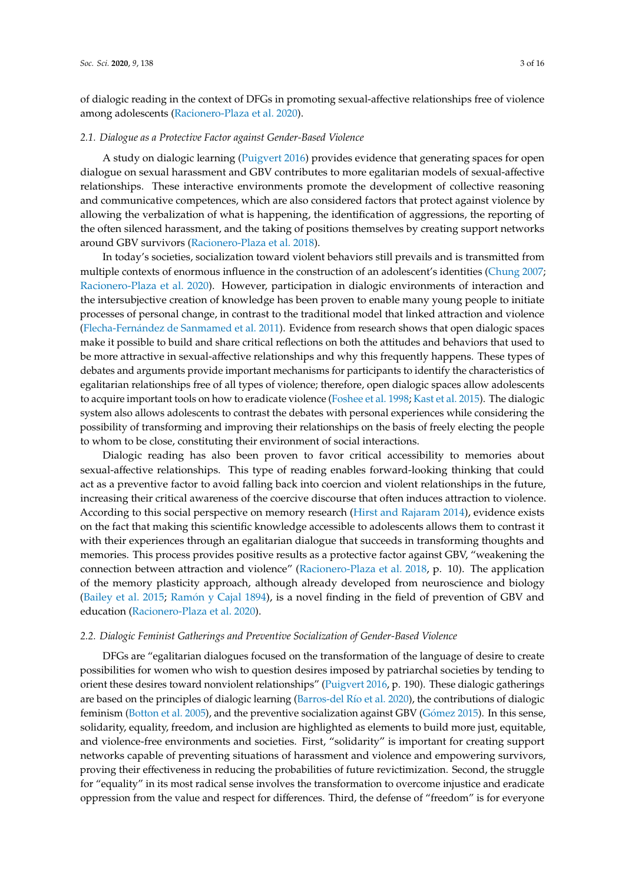of dialogic reading in the context of DFGs in promoting sexual-affective relationships free of violence among adolescents [\(Racionero-Plaza et al.](#page-14-3) [2020\)](#page-14-3).

#### *2.1. Dialogue as a Protective Factor against Gender-Based Violence*

A study on dialogic learning [\(Puigvert](#page-14-8) [2016\)](#page-14-8) provides evidence that generating spaces for open dialogue on sexual harassment and GBV contributes to more egalitarian models of sexual-affective relationships. These interactive environments promote the development of collective reasoning and communicative competences, which are also considered factors that protect against violence by allowing the verbalization of what is happening, the identification of aggressions, the reporting of the often silenced harassment, and the taking of positions themselves by creating support networks around GBV survivors [\(Racionero-Plaza et al.](#page-14-9) [2018\)](#page-14-9).

In today's societies, socialization toward violent behaviors still prevails and is transmitted from multiple contexts of enormous influence in the construction of an adolescent's identities [\(Chung](#page-13-7) [2007;](#page-13-7) [Racionero-Plaza et al.](#page-14-3) [2020\)](#page-14-3). However, participation in dialogic environments of interaction and the intersubjective creation of knowledge has been proven to enable many young people to initiate processes of personal change, in contrast to the traditional model that linked attraction and violence (Flecha-Ferná[ndez de Sanmamed et al.](#page-13-8) [2011\)](#page-13-8). Evidence from research shows that open dialogic spaces make it possible to build and share critical reflections on both the attitudes and behaviors that used to be more attractive in sexual-affective relationships and why this frequently happens. These types of debates and arguments provide important mechanisms for participants to identify the characteristics of egalitarian relationships free of all types of violence; therefore, open dialogic spaces allow adolescents to acquire important tools on how to eradicate violence [\(Foshee et al.](#page-14-10) [1998;](#page-14-10) [Kast et al.](#page-14-11) [2015\)](#page-14-11). The dialogic system also allows adolescents to contrast the debates with personal experiences while considering the possibility of transforming and improving their relationships on the basis of freely electing the people to whom to be close, constituting their environment of social interactions.

Dialogic reading has also been proven to favor critical accessibility to memories about sexual-affective relationships. This type of reading enables forward-looking thinking that could act as a preventive factor to avoid falling back into coercion and violent relationships in the future, increasing their critical awareness of the coercive discourse that often induces attraction to violence. According to this social perspective on memory research [\(Hirst and Rajaram](#page-14-12) [2014\)](#page-14-12), evidence exists on the fact that making this scientific knowledge accessible to adolescents allows them to contrast it with their experiences through an egalitarian dialogue that succeeds in transforming thoughts and memories. This process provides positive results as a protective factor against GBV, "weakening the connection between attraction and violence" [\(Racionero-Plaza et al.](#page-14-9) [2018,](#page-14-9) p. 10). The application of the memory plasticity approach, although already developed from neuroscience and biology [\(Bailey et al.](#page-13-9) [2015;](#page-13-9) Ramó[n y Cajal](#page-14-13) [1894\)](#page-14-13), is a novel finding in the field of prevention of GBV and education [\(Racionero-Plaza et al.](#page-14-3) [2020\)](#page-14-3).

### *2.2. Dialogic Feminist Gatherings and Preventive Socialization of Gender-Based Violence*

DFGs are "egalitarian dialogues focused on the transformation of the language of desire to create possibilities for women who wish to question desires imposed by patriarchal societies by tending to orient these desires toward nonviolent relationships" [\(Puigvert](#page-14-8) [2016,](#page-14-8) p. 190). These dialogic gatherings are based on the principles of dialogic learning [\(Barros-del R](#page-13-10)ío et al. [2020\)](#page-13-10), the contributions of dialogic feminism [\(Botton et al.](#page-13-3) [2005\)](#page-13-3), and the preventive socialization against GBV (Gó[mez](#page-14-4) [2015\)](#page-14-4). In this sense, solidarity, equality, freedom, and inclusion are highlighted as elements to build more just, equitable, and violence-free environments and societies. First, "solidarity" is important for creating support networks capable of preventing situations of harassment and violence and empowering survivors, proving their effectiveness in reducing the probabilities of future revictimization. Second, the struggle for "equality" in its most radical sense involves the transformation to overcome injustice and eradicate oppression from the value and respect for differences. Third, the defense of "freedom" is for everyone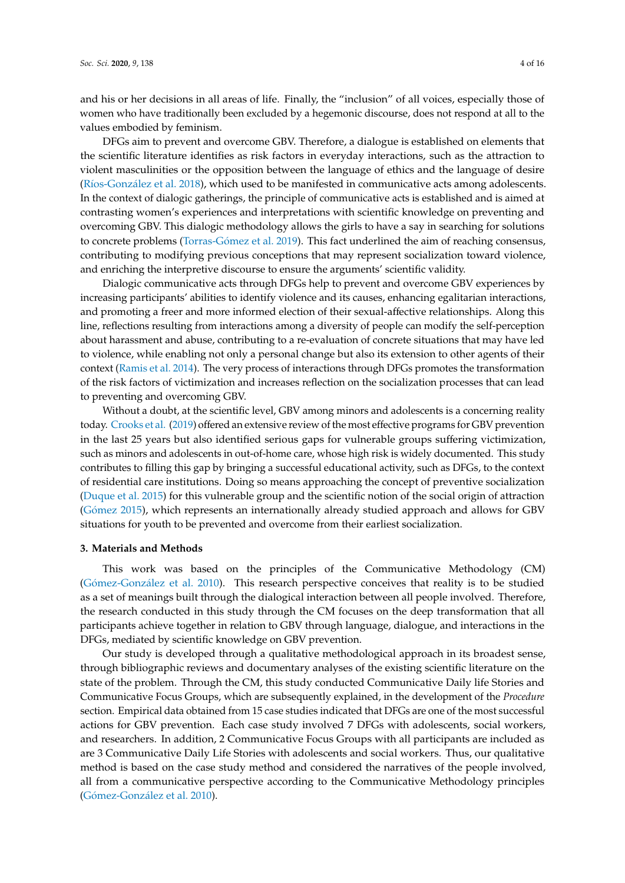and his or her decisions in all areas of life. Finally, the "inclusion" of all voices, especially those of women who have traditionally been excluded by a hegemonic discourse, does not respond at all to the values embodied by feminism.

DFGs aim to prevent and overcome GBV. Therefore, a dialogue is established on elements that the scientific literature identifies as risk factors in everyday interactions, such as the attraction to violent masculinities or the opposition between the language of ethics and the language of desire (Rí[os-Gonz](#page-15-3)ález et al. [2018\)](#page-15-3), which used to be manifested in communicative acts among adolescents. In the context of dialogic gatherings, the principle of communicative acts is established and is aimed at contrasting women's experiences and interpretations with scientific knowledge on preventing and overcoming GBV. This dialogic methodology allows the girls to have a say in searching for solutions to concrete problems (Torras-Gó[mez et al.](#page-15-4) [2019\)](#page-15-4). This fact underlined the aim of reaching consensus, contributing to modifying previous conceptions that may represent socialization toward violence, and enriching the interpretive discourse to ensure the arguments' scientific validity.

Dialogic communicative acts through DFGs help to prevent and overcome GBV experiences by increasing participants' abilities to identify violence and its causes, enhancing egalitarian interactions, and promoting a freer and more informed election of their sexual-affective relationships. Along this line, reflections resulting from interactions among a diversity of people can modify the self-perception about harassment and abuse, contributing to a re-evaluation of concrete situations that may have led to violence, while enabling not only a personal change but also its extension to other agents of their context [\(Ramis et al.](#page-14-14) [2014\)](#page-14-14). The very process of interactions through DFGs promotes the transformation of the risk factors of victimization and increases reflection on the socialization processes that can lead to preventing and overcoming GBV.

Without a doubt, at the scientific level, GBV among minors and adolescents is a concerning reality today. [Crooks et al.](#page-13-1) [\(2019\)](#page-13-1) offered an extensive review of the most effective programs for GBV prevention in the last 25 years but also identified serious gaps for vulnerable groups suffering victimization, such as minors and adolescents in out-of-home care, whose high risk is widely documented. This study contributes to filling this gap by bringing a successful educational activity, such as DFGs, to the context of residential care institutions. Doing so means approaching the concept of preventive socialization [\(Duque et al.](#page-13-11) [2015\)](#page-13-11) for this vulnerable group and the scientific notion of the social origin of attraction (Gó[mez](#page-14-4) [2015\)](#page-14-4), which represents an internationally already studied approach and allows for GBV situations for youth to be prevented and overcome from their earliest socialization.

### **3. Materials and Methods**

This work was based on the principles of the Communicative Methodology (CM) (Gó[mez-Gonz](#page-14-15)ález et al. [2010\)](#page-14-15). This research perspective conceives that reality is to be studied as a set of meanings built through the dialogical interaction between all people involved. Therefore, the research conducted in this study through the CM focuses on the deep transformation that all participants achieve together in relation to GBV through language, dialogue, and interactions in the DFGs, mediated by scientific knowledge on GBV prevention.

Our study is developed through a qualitative methodological approach in its broadest sense, through bibliographic reviews and documentary analyses of the existing scientific literature on the state of the problem. Through the CM, this study conducted Communicative Daily life Stories and Communicative Focus Groups, which are subsequently explained, in the development of the *Procedure* section. Empirical data obtained from 15 case studies indicated that DFGs are one of the most successful actions for GBV prevention. Each case study involved 7 DFGs with adolescents, social workers, and researchers. In addition, 2 Communicative Focus Groups with all participants are included as are 3 Communicative Daily Life Stories with adolescents and social workers. Thus, our qualitative method is based on the case study method and considered the narratives of the people involved, all from a communicative perspective according to the Communicative Methodology principles (Gó[mez-Gonz](#page-14-15)ález et al. [2010\)](#page-14-15).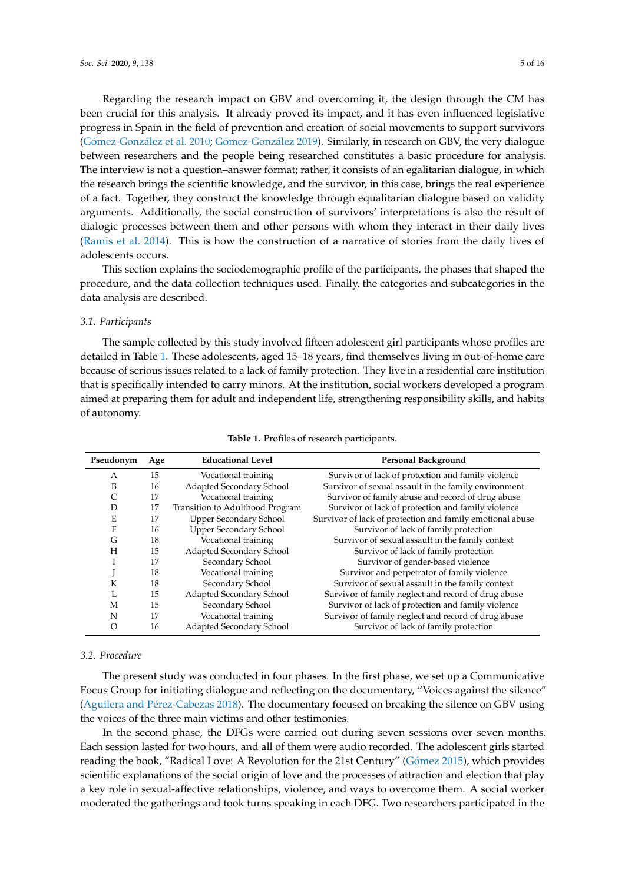Regarding the research impact on GBV and overcoming it, the design through the CM has been crucial for this analysis. It already proved its impact, and it has even influenced legislative progress in Spain in the field of prevention and creation of social movements to support survivors (Gó[mez-Gonz](#page-14-15)ález et al. [2010;](#page-14-15) Gó[mez-Gonz](#page-14-16)ález [2019\)](#page-14-16). Similarly, in research on GBV, the very dialogue between researchers and the people being researched constitutes a basic procedure for analysis. The interview is not a question–answer format; rather, it consists of an egalitarian dialogue, in which the research brings the scientific knowledge, and the survivor, in this case, brings the real experience of a fact. Together, they construct the knowledge through equalitarian dialogue based on validity arguments. Additionally, the social construction of survivors' interpretations is also the result of dialogic processes between them and other persons with whom they interact in their daily lives [\(Ramis et al.](#page-14-14) [2014\)](#page-14-14). This is how the construction of a narrative of stories from the daily lives of adolescents occurs.

This section explains the sociodemographic profile of the participants, the phases that shaped the procedure, and the data collection techniques used. Finally, the categories and subcategories in the data analysis are described.

#### *3.1. Participants*

The sample collected by this study involved fifteen adolescent girl participants whose profiles are detailed in Table [1.](#page-4-0) These adolescents, aged 15–18 years, find themselves living in out-of-home care because of serious issues related to a lack of family protection. They live in a residential care institution that is specifically intended to carry minors. At the institution, social workers developed a program aimed at preparing them for adult and independent life, strengthening responsibility skills, and habits of autonomy.

<span id="page-4-0"></span>

| Pseudonym    | Age | <b>Educational Level</b>        | <b>Personal Background</b>                                |
|--------------|-----|---------------------------------|-----------------------------------------------------------|
| A            | 15  | Vocational training             | Survivor of lack of protection and family violence        |
| B            | 16  | Adapted Secondary School        | Survivor of sexual assault in the family environment      |
| C            | 17  | Vocational training             | Survivor of family abuse and record of drug abuse         |
| D            | 17  | Transition to Adulthood Program | Survivor of lack of protection and family violence        |
| E            | 17  | Upper Secondary School          | Survivor of lack of protection and family emotional abuse |
| $\mathbf{F}$ | 16  | Upper Secondary School          | Survivor of lack of family protection                     |
| G            | 18  | Vocational training             | Survivor of sexual assault in the family context          |
| H            | 15  | Adapted Secondary School        | Survivor of lack of family protection                     |
|              | 17  | Secondary School                | Survivor of gender-based violence                         |
|              | 18  | Vocational training             | Survivor and perpetrator of family violence               |
| K            | 18  | Secondary School                | Survivor of sexual assault in the family context          |
| L            | 15  | Adapted Secondary School        | Survivor of family neglect and record of drug abuse       |
| M            | 15  | Secondary School                | Survivor of lack of protection and family violence        |
| N            | 17  | Vocational training             | Survivor of family neglect and record of drug abuse       |
| $\Omega$     | 16  | Adapted Secondary School        | Survivor of lack of family protection                     |

#### **Table 1.** Profiles of research participants.

#### *3.2. Procedure*

The present study was conducted in four phases. In the first phase, we set up a Communicative Focus Group for initiating dialogue and reflecting on the documentary, "Voices against the silence" [\(Aguilera and P](#page-13-12)érez-Cabezas [2018\)](#page-13-12). The documentary focused on breaking the silence on GBV using the voices of the three main victims and other testimonies.

In the second phase, the DFGs were carried out during seven sessions over seven months. Each session lasted for two hours, and all of them were audio recorded. The adolescent girls started reading the book, "Radical Love: A Revolution for the 21st Century" (Gó[mez](#page-14-4) [2015\)](#page-14-4), which provides scientific explanations of the social origin of love and the processes of attraction and election that play a key role in sexual-affective relationships, violence, and ways to overcome them. A social worker moderated the gatherings and took turns speaking in each DFG. Two researchers participated in the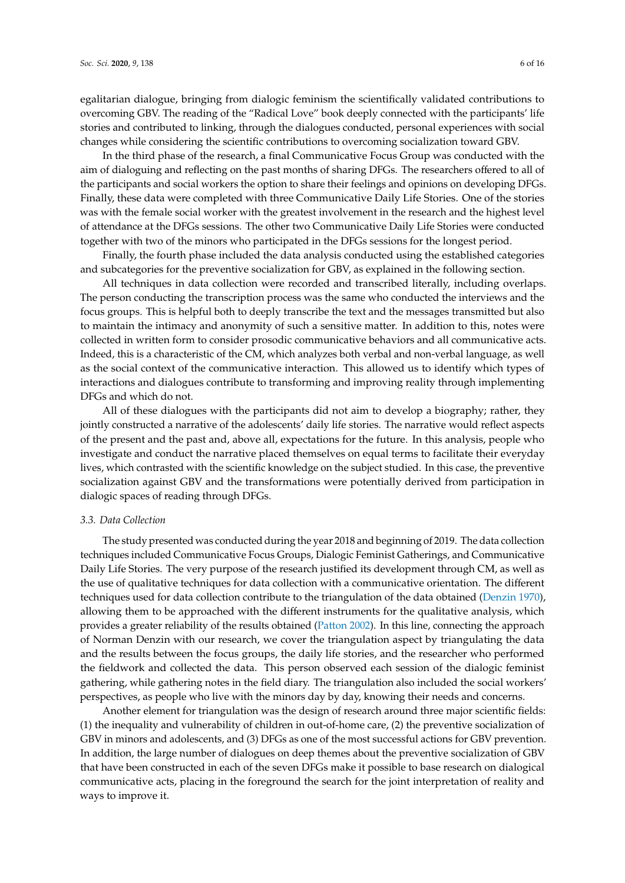egalitarian dialogue, bringing from dialogic feminism the scientifically validated contributions to overcoming GBV. The reading of the "Radical Love" book deeply connected with the participants' life stories and contributed to linking, through the dialogues conducted, personal experiences with social changes while considering the scientific contributions to overcoming socialization toward GBV.

In the third phase of the research, a final Communicative Focus Group was conducted with the aim of dialoguing and reflecting on the past months of sharing DFGs. The researchers offered to all of the participants and social workers the option to share their feelings and opinions on developing DFGs. Finally, these data were completed with three Communicative Daily Life Stories. One of the stories was with the female social worker with the greatest involvement in the research and the highest level of attendance at the DFGs sessions. The other two Communicative Daily Life Stories were conducted together with two of the minors who participated in the DFGs sessions for the longest period.

Finally, the fourth phase included the data analysis conducted using the established categories and subcategories for the preventive socialization for GBV, as explained in the following section.

All techniques in data collection were recorded and transcribed literally, including overlaps. The person conducting the transcription process was the same who conducted the interviews and the focus groups. This is helpful both to deeply transcribe the text and the messages transmitted but also to maintain the intimacy and anonymity of such a sensitive matter. In addition to this, notes were collected in written form to consider prosodic communicative behaviors and all communicative acts. Indeed, this is a characteristic of the CM, which analyzes both verbal and non-verbal language, as well as the social context of the communicative interaction. This allowed us to identify which types of interactions and dialogues contribute to transforming and improving reality through implementing DFGs and which do not.

All of these dialogues with the participants did not aim to develop a biography; rather, they jointly constructed a narrative of the adolescents' daily life stories. The narrative would reflect aspects of the present and the past and, above all, expectations for the future. In this analysis, people who investigate and conduct the narrative placed themselves on equal terms to facilitate their everyday lives, which contrasted with the scientific knowledge on the subject studied. In this case, the preventive socialization against GBV and the transformations were potentially derived from participation in dialogic spaces of reading through DFGs.

#### *3.3. Data Collection*

The study presented was conducted during the year 2018 and beginning of 2019. The data collection techniques included Communicative Focus Groups, Dialogic Feminist Gatherings, and Communicative Daily Life Stories. The very purpose of the research justified its development through CM, as well as the use of qualitative techniques for data collection with a communicative orientation. The different techniques used for data collection contribute to the triangulation of the data obtained [\(Denzin](#page-13-13) [1970\)](#page-13-13), allowing them to be approached with the different instruments for the qualitative analysis, which provides a greater reliability of the results obtained [\(Patton](#page-14-17) [2002\)](#page-14-17). In this line, connecting the approach of Norman Denzin with our research, we cover the triangulation aspect by triangulating the data and the results between the focus groups, the daily life stories, and the researcher who performed the fieldwork and collected the data. This person observed each session of the dialogic feminist gathering, while gathering notes in the field diary. The triangulation also included the social workers' perspectives, as people who live with the minors day by day, knowing their needs and concerns.

Another element for triangulation was the design of research around three major scientific fields: (1) the inequality and vulnerability of children in out-of-home care, (2) the preventive socialization of GBV in minors and adolescents, and (3) DFGs as one of the most successful actions for GBV prevention. In addition, the large number of dialogues on deep themes about the preventive socialization of GBV that have been constructed in each of the seven DFGs make it possible to base research on dialogical communicative acts, placing in the foreground the search for the joint interpretation of reality and ways to improve it.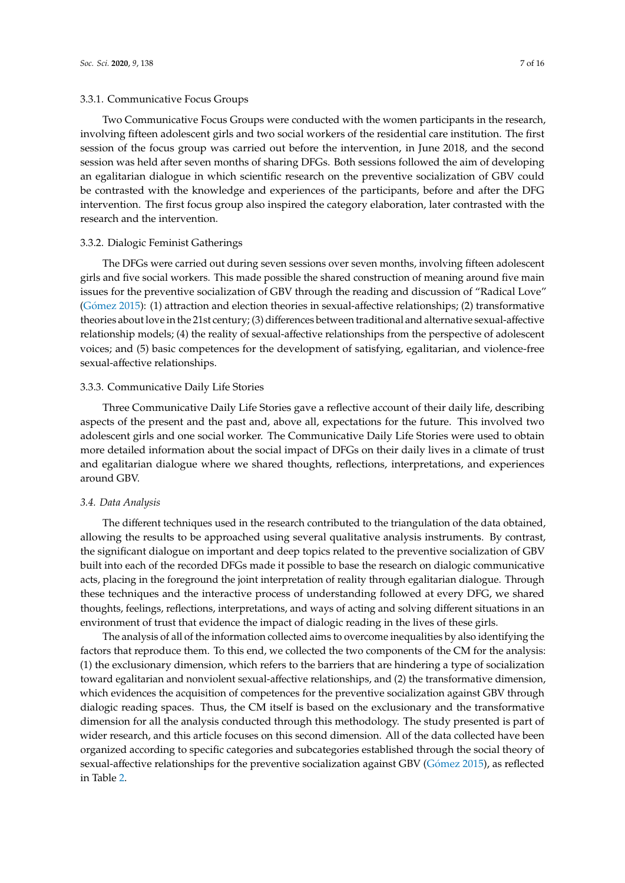Two Communicative Focus Groups were conducted with the women participants in the research, involving fifteen adolescent girls and two social workers of the residential care institution. The first session of the focus group was carried out before the intervention, in June 2018, and the second session was held after seven months of sharing DFGs. Both sessions followed the aim of developing an egalitarian dialogue in which scientific research on the preventive socialization of GBV could be contrasted with the knowledge and experiences of the participants, before and after the DFG intervention. The first focus group also inspired the category elaboration, later contrasted with the research and the intervention.

#### 3.3.2. Dialogic Feminist Gatherings

The DFGs were carried out during seven sessions over seven months, involving fifteen adolescent girls and five social workers. This made possible the shared construction of meaning around five main issues for the preventive socialization of GBV through the reading and discussion of "Radical Love" (Gó[mez](#page-14-4) [2015\)](#page-14-4): (1) attraction and election theories in sexual-affective relationships; (2) transformative theories about love in the 21st century; (3) differences between traditional and alternative sexual-affective relationship models; (4) the reality of sexual-affective relationships from the perspective of adolescent voices; and (5) basic competences for the development of satisfying, egalitarian, and violence-free sexual-affective relationships.

#### 3.3.3. Communicative Daily Life Stories

Three Communicative Daily Life Stories gave a reflective account of their daily life, describing aspects of the present and the past and, above all, expectations for the future. This involved two adolescent girls and one social worker. The Communicative Daily Life Stories were used to obtain more detailed information about the social impact of DFGs on their daily lives in a climate of trust and egalitarian dialogue where we shared thoughts, reflections, interpretations, and experiences around GBV.

#### *3.4. Data Analysis*

The different techniques used in the research contributed to the triangulation of the data obtained, allowing the results to be approached using several qualitative analysis instruments. By contrast, the significant dialogue on important and deep topics related to the preventive socialization of GBV built into each of the recorded DFGs made it possible to base the research on dialogic communicative acts, placing in the foreground the joint interpretation of reality through egalitarian dialogue. Through these techniques and the interactive process of understanding followed at every DFG, we shared thoughts, feelings, reflections, interpretations, and ways of acting and solving different situations in an environment of trust that evidence the impact of dialogic reading in the lives of these girls.

The analysis of all of the information collected aims to overcome inequalities by also identifying the factors that reproduce them. To this end, we collected the two components of the CM for the analysis: (1) the exclusionary dimension, which refers to the barriers that are hindering a type of socialization toward egalitarian and nonviolent sexual-affective relationships, and (2) the transformative dimension, which evidences the acquisition of competences for the preventive socialization against GBV through dialogic reading spaces. Thus, the CM itself is based on the exclusionary and the transformative dimension for all the analysis conducted through this methodology. The study presented is part of wider research, and this article focuses on this second dimension. All of the data collected have been organized according to specific categories and subcategories established through the social theory of sexual-affective relationships for the preventive socialization against GBV (Gó[mez](#page-14-4) [2015\)](#page-14-4), as reflected in Table [2.](#page-7-0)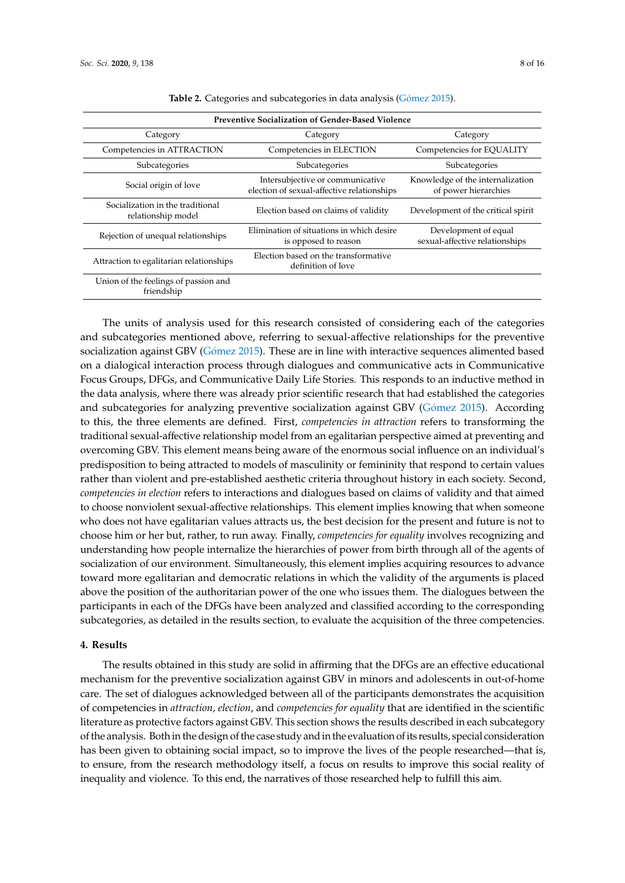<span id="page-7-0"></span>

| <b>Preventive Socialization of Gender-Based Violence</b> |                                                                                |                                                          |  |  |  |
|----------------------------------------------------------|--------------------------------------------------------------------------------|----------------------------------------------------------|--|--|--|
| Category                                                 | Category                                                                       | Category                                                 |  |  |  |
| Competencies in ATTRACTION                               | Competencies in ELECTION                                                       | Competencies for EQUALITY                                |  |  |  |
| Subcategories                                            | Subcategories                                                                  | Subcategories                                            |  |  |  |
| Social origin of love                                    | Intersubjective or communicative<br>election of sexual-affective relationships | Knowledge of the internalization<br>of power hierarchies |  |  |  |
| Socialization in the traditional<br>relationship model   | Election based on claims of validity                                           | Development of the critical spirit                       |  |  |  |
| Rejection of unequal relationships                       | Elimination of situations in which desire<br>is opposed to reason              | Development of equal<br>sexual-affective relationships   |  |  |  |
| Attraction to egalitarian relationships                  | Election based on the transformative<br>definition of love                     |                                                          |  |  |  |
| Union of the feelings of passion and<br>friendship       |                                                                                |                                                          |  |  |  |

**Table 2.** Categories and subcategories in data analysis (Gó[mez](#page-14-4) [2015\)](#page-14-4).

The units of analysis used for this research consisted of considering each of the categories and subcategories mentioned above, referring to sexual-affective relationships for the preventive socialization against GBV (Gó[mez](#page-14-4) [2015\)](#page-14-4). These are in line with interactive sequences alimented based on a dialogical interaction process through dialogues and communicative acts in Communicative Focus Groups, DFGs, and Communicative Daily Life Stories. This responds to an inductive method in the data analysis, where there was already prior scientific research that had established the categories and subcategories for analyzing preventive socialization against GBV (Gó[mez](#page-14-4) [2015\)](#page-14-4). According to this, the three elements are defined. First, *competencies in attraction* refers to transforming the traditional sexual-affective relationship model from an egalitarian perspective aimed at preventing and overcoming GBV. This element means being aware of the enormous social influence on an individual's predisposition to being attracted to models of masculinity or femininity that respond to certain values rather than violent and pre-established aesthetic criteria throughout history in each society. Second, *competencies in election* refers to interactions and dialogues based on claims of validity and that aimed to choose nonviolent sexual-affective relationships. This element implies knowing that when someone who does not have egalitarian values attracts us, the best decision for the present and future is not to choose him or her but, rather, to run away. Finally, *competencies for equality* involves recognizing and understanding how people internalize the hierarchies of power from birth through all of the agents of socialization of our environment. Simultaneously, this element implies acquiring resources to advance toward more egalitarian and democratic relations in which the validity of the arguments is placed above the position of the authoritarian power of the one who issues them. The dialogues between the participants in each of the DFGs have been analyzed and classified according to the corresponding subcategories, as detailed in the results section, to evaluate the acquisition of the three competencies.

### **4. Results**

The results obtained in this study are solid in affirming that the DFGs are an effective educational mechanism for the preventive socialization against GBV in minors and adolescents in out-of-home care. The set of dialogues acknowledged between all of the participants demonstrates the acquisition of competencies in *attraction, election*, and *competencies for equality* that are identified in the scientific literature as protective factors against GBV. This section shows the results described in each subcategory of the analysis. Both in the design of the case study andin the evaluation ofits results, special consideration has been given to obtaining social impact, so to improve the lives of the people researched—that is, to ensure, from the research methodology itself, a focus on results to improve this social reality of inequality and violence. To this end, the narratives of those researched help to fulfill this aim.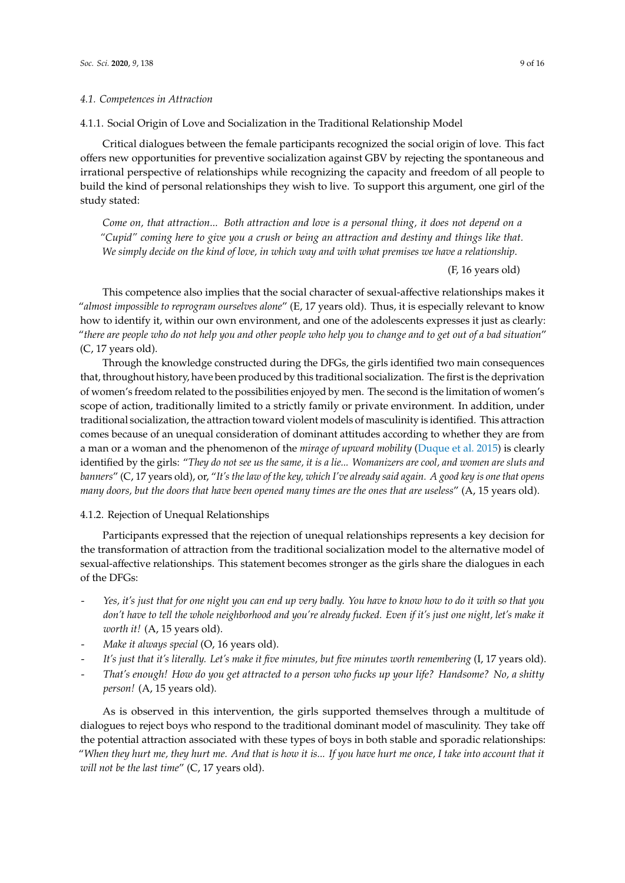4.1.1. Social Origin of Love and Socialization in the Traditional Relationship Model

Critical dialogues between the female participants recognized the social origin of love. This fact offers new opportunities for preventive socialization against GBV by rejecting the spontaneous and irrational perspective of relationships while recognizing the capacity and freedom of all people to build the kind of personal relationships they wish to live. To support this argument, one girl of the study stated:

*Come on, that attraction... Both attraction and love is a personal thing, it does not depend on a "Cupid" coming here to give you a crush or being an attraction and destiny and things like that. We simply decide on the kind of love, in which way and with what premises we have a relationship*.

(F, 16 years old)

This competence also implies that the social character of sexual-affective relationships makes it "*almost impossible to reprogram ourselves alone*" (E, 17 years old). Thus, it is especially relevant to know how to identify it, within our own environment, and one of the adolescents expresses it just as clearly: "*there are people who do not help you and other people who help you to change and to get out of a bad situation*" (C, 17 years old).

Through the knowledge constructed during the DFGs, the girls identified two main consequences that, throughout history, have been produced by this traditional socialization. The first is the deprivation of women's freedom related to the possibilities enjoyed by men. The second is the limitation of women's scope of action, traditionally limited to a strictly family or private environment. In addition, under traditional socialization, the attraction toward violent models of masculinity is identified. This attraction comes because of an unequal consideration of dominant attitudes according to whether they are from a man or a woman and the phenomenon of the *mirage of upward mobility* [\(Duque et al.](#page-13-11) [2015\)](#page-13-11) is clearly identified by the girls: "*They do not see us the same, it is a lie... Womanizers are cool, and women are sluts and banners*" (C, 17 years old), or, "*It's the law of the key, which I've already said again. A good key is one that opens many doors, but the doors that have been opened many times are the ones that are useless*" (A, 15 years old).

### 4.1.2. Rejection of Unequal Relationships

Participants expressed that the rejection of unequal relationships represents a key decision for the transformation of attraction from the traditional socialization model to the alternative model of sexual-affective relationships. This statement becomes stronger as the girls share the dialogues in each of the DFGs:

- *Yes, it's just that for one night you can end up very badly. You have to know how to do it with so that you don't have to tell the whole neighborhood and you're already fucked. Even if it's just one night, let's make it worth it!* (A, 15 years old).
- *Make it always special* (O, 16 years old).
- *It's just that it's literally. Let's make it five minutes, but five minutes worth remembering* (I, 17 years old).
- *That's enough! How do you get attracted to a person who fucks up your life? Handsome? No, a shitty person!* (A, 15 years old).

As is observed in this intervention, the girls supported themselves through a multitude of dialogues to reject boys who respond to the traditional dominant model of masculinity. They take off the potential attraction associated with these types of boys in both stable and sporadic relationships: "*When they hurt me, they hurt me. And that is how it is... If you have hurt me once, I take into account that it will not be the last time*" (C, 17 years old).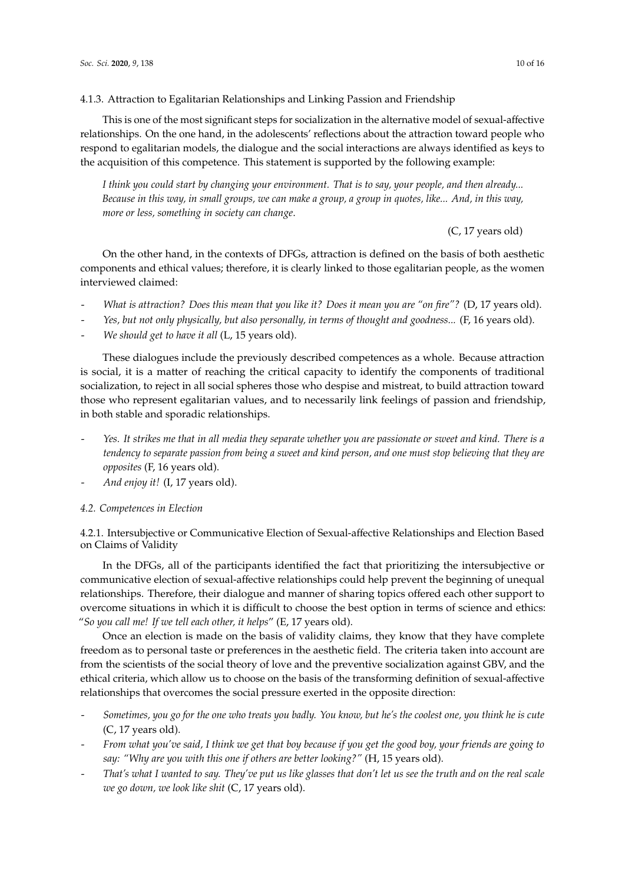4.1.3. Attraction to Egalitarian Relationships and Linking Passion and Friendship

This is one of the most significant steps for socialization in the alternative model of sexual-affective relationships. On the one hand, in the adolescents' reflections about the attraction toward people who respond to egalitarian models, the dialogue and the social interactions are always identified as keys to the acquisition of this competence. This statement is supported by the following example:

*I think you could start by changing your environment. That is to say, your people, and then already... Because in this way, in small groups, we can make a group, a group in quotes, like... And, in this way, more or less, something in society can change*.

(C, 17 years old)

On the other hand, in the contexts of DFGs, attraction is defined on the basis of both aesthetic components and ethical values; therefore, it is clearly linked to those egalitarian people, as the women interviewed claimed:

- *What is attraction? Does this mean that you like it? Does it mean you are "on fire"?* (D, 17 years old).
- *Yes, but not only physically, but also personally, in terms of thought and goodness...* (F, 16 years old).
- *We should get to have it all* (L, 15 years old).

These dialogues include the previously described competences as a whole. Because attraction is social, it is a matter of reaching the critical capacity to identify the components of traditional socialization, to reject in all social spheres those who despise and mistreat, to build attraction toward those who represent egalitarian values, and to necessarily link feelings of passion and friendship, in both stable and sporadic relationships.

- *Yes. It strikes me that in all media they separate whether you are passionate or sweet and kind. There is a tendency to separate passion from being a sweet and kind person, and one must stop believing that they are opposites* (F, 16 years old).
- *And enjoy it!* (I, 17 years old).

## *4.2. Competences in Election*

4.2.1. Intersubjective or Communicative Election of Sexual-affective Relationships and Election Based on Claims of Validity

In the DFGs, all of the participants identified the fact that prioritizing the intersubjective or communicative election of sexual-affective relationships could help prevent the beginning of unequal relationships. Therefore, their dialogue and manner of sharing topics offered each other support to overcome situations in which it is difficult to choose the best option in terms of science and ethics: "*So you call me! If we tell each other, it helps*" (E, 17 years old).

Once an election is made on the basis of validity claims, they know that they have complete freedom as to personal taste or preferences in the aesthetic field. The criteria taken into account are from the scientists of the social theory of love and the preventive socialization against GBV, and the ethical criteria, which allow us to choose on the basis of the transforming definition of sexual-affective relationships that overcomes the social pressure exerted in the opposite direction:

- *Sometimes, you go for the one who treats you badly. You know, but he's the coolest one, you think he is cute* (C, 17 years old).
- *From what you've said, I think we get that boy because if you get the good boy, your friends are going to say: "Why are you with this one if others are better looking?"* (H, 15 years old).
- *That's what I wanted to say. They've put us like glasses that don't let us see the truth and on the real scale we go down, we look like shit* (C, 17 years old).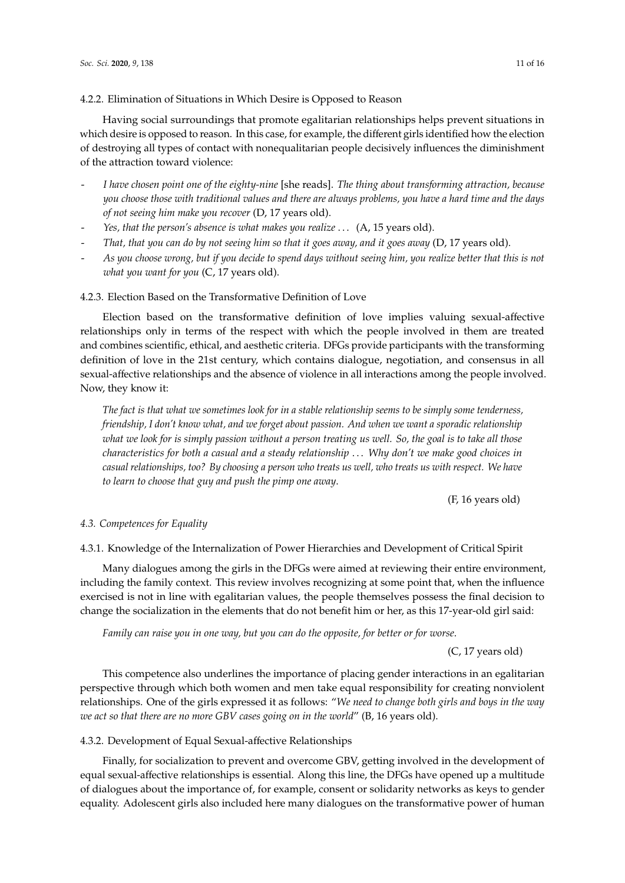### 4.2.2. Elimination of Situations in Which Desire is Opposed to Reason

Having social surroundings that promote egalitarian relationships helps prevent situations in which desire is opposed to reason. In this case, for example, the different girls identified how the election of destroying all types of contact with nonequalitarian people decisively influences the diminishment of the attraction toward violence:

- *I have chosen point one of the eighty-nine* [she reads]. *The thing about transforming attraction, because you choose those with traditional values and there are always problems, you have a hard time and the days of not seeing him make you recover* (D, 17 years old).
- *Yes, that the person's absence is what makes you realize* ... (A, 15 years old).
- *That, that you can do by not seeing him so that it goes away, and it goes away* (D, 17 years old).
- *As you choose wrong, but if you decide to spend days without seeing him, you realize better that this is not what you want for you* (C, 17 years old).

### 4.2.3. Election Based on the Transformative Definition of Love

Election based on the transformative definition of love implies valuing sexual-affective relationships only in terms of the respect with which the people involved in them are treated and combines scientific, ethical, and aesthetic criteria. DFGs provide participants with the transforming definition of love in the 21st century, which contains dialogue, negotiation, and consensus in all sexual-affective relationships and the absence of violence in all interactions among the people involved. Now, they know it:

*The fact is that what we sometimes look for in a stable relationship seems to be simply some tenderness, friendship, I don't know what, and we forget about passion. And when we want a sporadic relationship what we look for is simply passion without a person treating us well. So, the goal is to take all those characteristics for both a casual and a steady relationship* . . . *Why don't we make good choices in casual relationships, too? By choosing a person who treats us well, who treats us with respect. We have to learn to choose that guy and push the pimp one away*.

(F, 16 years old)

### *4.3. Competences for Equality*

## 4.3.1. Knowledge of the Internalization of Power Hierarchies and Development of Critical Spirit

Many dialogues among the girls in the DFGs were aimed at reviewing their entire environment, including the family context. This review involves recognizing at some point that, when the influence exercised is not in line with egalitarian values, the people themselves possess the final decision to change the socialization in the elements that do not benefit him or her, as this 17-year-old girl said:

*Family can raise you in one way, but you can do the opposite, for better or for worse*.

(C, 17 years old)

This competence also underlines the importance of placing gender interactions in an egalitarian perspective through which both women and men take equal responsibility for creating nonviolent relationships. One of the girls expressed it as follows: "*We need to change both girls and boys in the way we act so that there are no more GBV cases going on in the world*" (B, 16 years old).

### 4.3.2. Development of Equal Sexual-affective Relationships

Finally, for socialization to prevent and overcome GBV, getting involved in the development of equal sexual-affective relationships is essential. Along this line, the DFGs have opened up a multitude of dialogues about the importance of, for example, consent or solidarity networks as keys to gender equality. Adolescent girls also included here many dialogues on the transformative power of human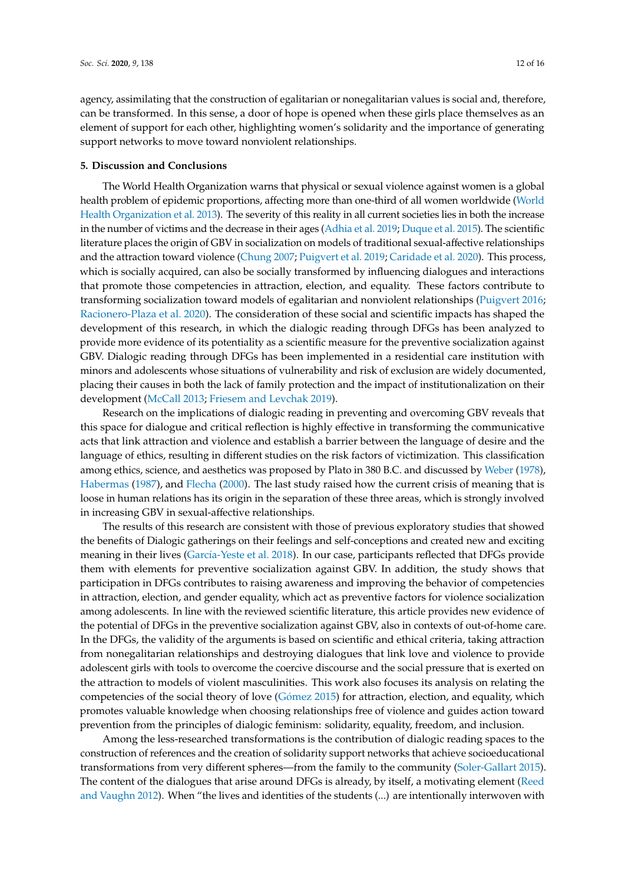agency, assimilating that the construction of egalitarian or nonegalitarian values is social and, therefore, can be transformed. In this sense, a door of hope is opened when these girls place themselves as an element of support for each other, highlighting women's solidarity and the importance of generating support networks to move toward nonviolent relationships.

### **5. Discussion and Conclusions**

The World Health Organization warns that physical or sexual violence against women is a global health problem of epidemic proportions, affecting more than one-third of all women worldwide [\(World](#page-15-5) [Health Organization et al.](#page-15-5) [2013\)](#page-15-5). The severity of this reality in all current societies lies in both the increase in the number of victims and the decrease in their ages [\(Adhia et al.](#page-13-2) [2019;](#page-13-2) [Duque et al.](#page-13-11) [2015\)](#page-13-11). The scientific literature places the origin of GBV in socialization on models of traditional sexual-affective relationships and the attraction toward violence [\(Chung](#page-13-7) [2007;](#page-13-7) [Puigvert et al.](#page-14-2) [2019;](#page-14-2) [Caridade et al.](#page-13-14) [2020\)](#page-13-14). This process, which is socially acquired, can also be socially transformed by influencing dialogues and interactions that promote those competencies in attraction, election, and equality. These factors contribute to transforming socialization toward models of egalitarian and nonviolent relationships [\(Puigvert](#page-14-8) [2016;](#page-14-8) [Racionero-Plaza et al.](#page-14-3) [2020\)](#page-14-3). The consideration of these social and scientific impacts has shaped the development of this research, in which the dialogic reading through DFGs has been analyzed to provide more evidence of its potentiality as a scientific measure for the preventive socialization against GBV. Dialogic reading through DFGs has been implemented in a residential care institution with minors and adolescents whose situations of vulnerability and risk of exclusion are widely documented, placing their causes in both the lack of family protection and the impact of institutionalization on their development [\(McCall](#page-14-18) [2013;](#page-14-18) [Friesem and Levchak](#page-14-19) [2019\)](#page-14-19).

Research on the implications of dialogic reading in preventing and overcoming GBV reveals that this space for dialogue and critical reflection is highly effective in transforming the communicative acts that link attraction and violence and establish a barrier between the language of desire and the language of ethics, resulting in different studies on the risk factors of victimization. This classification among ethics, science, and aesthetics was proposed by Plato in 380 B.C. and discussed by [Weber](#page-15-6) [\(1978\)](#page-15-6), [Habermas](#page-14-20) [\(1987\)](#page-14-20), and [Flecha](#page-13-15) [\(2000\)](#page-13-15). The last study raised how the current crisis of meaning that is loose in human relations has its origin in the separation of these three areas, which is strongly involved in increasing GBV in sexual-affective relationships.

The results of this research are consistent with those of previous exploratory studies that showed the benefits of Dialogic gatherings on their feelings and self-conceptions and created new and exciting meaning in their lives (Garcí[a-Yeste et al.](#page-14-6) [2018\)](#page-14-6). In our case, participants reflected that DFGs provide them with elements for preventive socialization against GBV. In addition, the study shows that participation in DFGs contributes to raising awareness and improving the behavior of competencies in attraction, election, and gender equality, which act as preventive factors for violence socialization among adolescents. In line with the reviewed scientific literature, this article provides new evidence of the potential of DFGs in the preventive socialization against GBV, also in contexts of out-of-home care. In the DFGs, the validity of the arguments is based on scientific and ethical criteria, taking attraction from nonegalitarian relationships and destroying dialogues that link love and violence to provide adolescent girls with tools to overcome the coercive discourse and the social pressure that is exerted on the attraction to models of violent masculinities. This work also focuses its analysis on relating the competencies of the social theory of love (Gó[mez](#page-14-4) [2015\)](#page-14-4) for attraction, election, and equality, which promotes valuable knowledge when choosing relationships free of violence and guides action toward prevention from the principles of dialogic feminism: solidarity, equality, freedom, and inclusion.

Among the less-researched transformations is the contribution of dialogic reading spaces to the construction of references and the creation of solidarity support networks that achieve socioeducational transformations from very different spheres—from the family to the community [\(Soler-Gallart](#page-15-7) [2015\)](#page-15-7). The content of the dialogues that arise around DFGs is already, by itself, a motivating element [\(Reed](#page-14-21) [and Vaughn](#page-14-21) [2012\)](#page-14-21). When "the lives and identities of the students (...) are intentionally interwoven with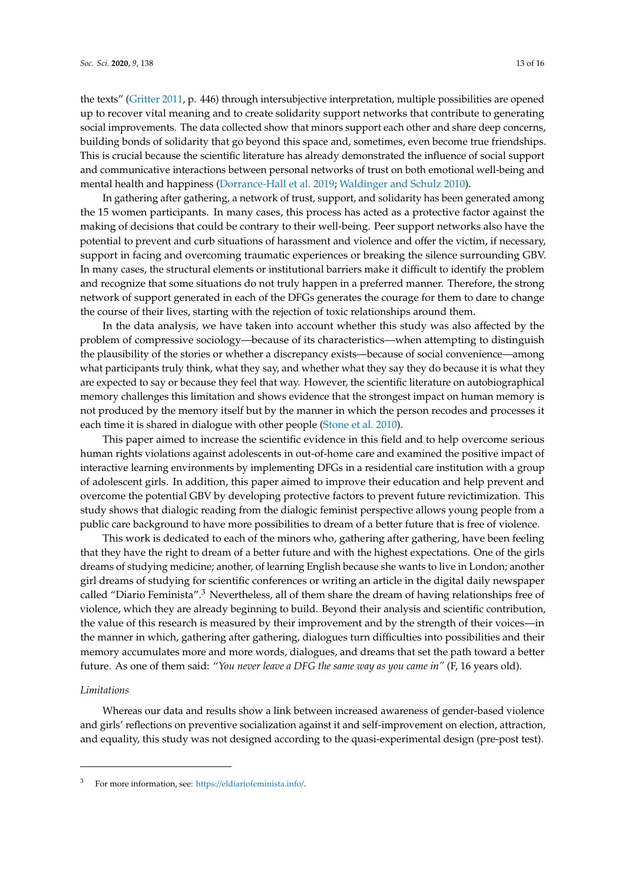the texts" [\(Gritter](#page-14-22) [2011,](#page-14-22) p. 446) through intersubjective interpretation, multiple possibilities are opened up to recover vital meaning and to create solidarity support networks that contribute to generating social improvements. The data collected show that minors support each other and share deep concerns, building bonds of solidarity that go beyond this space and, sometimes, even become true friendships. This is crucial because the scientific literature has already demonstrated the influence of social support and communicative interactions between personal networks of trust on both emotional well-being and mental health and happiness [\(Dorrance-Hall et al.](#page-13-16) [2019;](#page-13-16) [Waldinger and Schulz](#page-15-8) [2010\)](#page-15-8).

In gathering after gathering, a network of trust, support, and solidarity has been generated among the 15 women participants. In many cases, this process has acted as a protective factor against the making of decisions that could be contrary to their well-being. Peer support networks also have the potential to prevent and curb situations of harassment and violence and offer the victim, if necessary, support in facing and overcoming traumatic experiences or breaking the silence surrounding GBV. In many cases, the structural elements or institutional barriers make it difficult to identify the problem and recognize that some situations do not truly happen in a preferred manner. Therefore, the strong network of support generated in each of the DFGs generates the courage for them to dare to change the course of their lives, starting with the rejection of toxic relationships around them.

In the data analysis, we have taken into account whether this study was also affected by the problem of compressive sociology—because of its characteristics—when attempting to distinguish the plausibility of the stories or whether a discrepancy exists—because of social convenience—among what participants truly think, what they say, and whether what they say they do because it is what they are expected to say or because they feel that way. However, the scientific literature on autobiographical memory challenges this limitation and shows evidence that the strongest impact on human memory is not produced by the memory itself but by the manner in which the person recodes and processes it each time it is shared in dialogue with other people [\(Stone et al.](#page-15-9) [2010\)](#page-15-9).

This paper aimed to increase the scientific evidence in this field and to help overcome serious human rights violations against adolescents in out-of-home care and examined the positive impact of interactive learning environments by implementing DFGs in a residential care institution with a group of adolescent girls. In addition, this paper aimed to improve their education and help prevent and overcome the potential GBV by developing protective factors to prevent future revictimization. This study shows that dialogic reading from the dialogic feminist perspective allows young people from a public care background to have more possibilities to dream of a better future that is free of violence.

This work is dedicated to each of the minors who, gathering after gathering, have been feeling that they have the right to dream of a better future and with the highest expectations. One of the girls dreams of studying medicine; another, of learning English because she wants to live in London; another girl dreams of studying for scientific conferences or writing an article in the digital daily newspaper called "Diario Feminista".<sup>3</sup> Nevertheless, all of them share the dream of having relationships free of violence, which they are already beginning to build. Beyond their analysis and scientific contribution, the value of this research is measured by their improvement and by the strength of their voices—in the manner in which, gathering after gathering, dialogues turn difficulties into possibilities and their memory accumulates more and more words, dialogues, and dreams that set the path toward a better future. As one of them said: "*You never leave a DFG the same way as you came in"* (F, 16 years old).

#### *Limitations*

Whereas our data and results show a link between increased awareness of gender-based violence and girls' reflections on preventive socialization against it and self-improvement on election, attraction, and equality, this study was not designed according to the quasi-experimental design (pre-post test).

<sup>3</sup> For more information, see: https://[eldiariofeminista.info](https://eldiariofeminista.info/)/.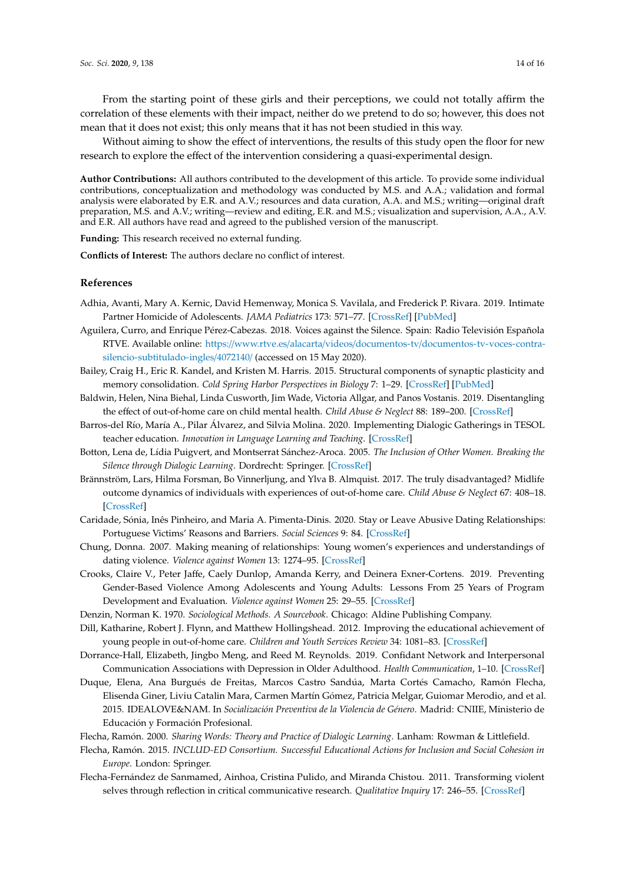From the starting point of these girls and their perceptions, we could not totally affirm the correlation of these elements with their impact, neither do we pretend to do so; however, this does not mean that it does not exist; this only means that it has not been studied in this way.

Without aiming to show the effect of interventions, the results of this study open the floor for new research to explore the effect of the intervention considering a quasi-experimental design.

**Author Contributions:** All authors contributed to the development of this article. To provide some individual contributions, conceptualization and methodology was conducted by M.S. and A.A.; validation and formal analysis were elaborated by E.R. and A.V.; resources and data curation, A.A. and M.S.; writing—original draft preparation, M.S. and A.V.; writing—review and editing, E.R. and M.S.; visualization and supervision, A.A., A.V. and E.R. All authors have read and agreed to the published version of the manuscript.

**Funding:** This research received no external funding.

**Conflicts of Interest:** The authors declare no conflict of interest.

### **References**

- <span id="page-13-2"></span>Adhia, Avanti, Mary A. Kernic, David Hemenway, Monica S. Vavilala, and Frederick P. Rivara. 2019. Intimate Partner Homicide of Adolescents. *JAMA Pediatrics* 173: 571–77. [\[CrossRef\]](http://dx.doi.org/10.1001/jamapediatrics.2019.0621) [\[PubMed\]](http://www.ncbi.nlm.nih.gov/pubmed/30985886)
- <span id="page-13-12"></span>Aguilera, Curro, and Enrique Pérez-Cabezas. 2018. Voices against the Silence. Spain: Radio Televisión Española RTVE. Available online: https://www.rtve.es/alacarta/videos/documentos-tv/[documentos-tv-voces-contra](https://www.rtve.es/alacarta/videos/documentos-tv/documentos-tv-voces-contra-silencio-subtitulado-ingles/4072140/)[silencio-subtitulado-ingles](https://www.rtve.es/alacarta/videos/documentos-tv/documentos-tv-voces-contra-silencio-subtitulado-ingles/4072140/)/4072140/ (accessed on 15 May 2020).
- <span id="page-13-9"></span>Bailey, Craig H., Eric R. Kandel, and Kristen M. Harris. 2015. Structural components of synaptic plasticity and memory consolidation. *Cold Spring Harbor Perspectives in Biology* 7: 1–29. [\[CrossRef\]](http://dx.doi.org/10.1101/cshperspect.a021758) [\[PubMed\]](http://www.ncbi.nlm.nih.gov/pubmed/26134321)
- <span id="page-13-4"></span>Baldwin, Helen, Nina Biehal, Linda Cusworth, Jim Wade, Victoria Allgar, and Panos Vostanis. 2019. Disentangling the effect of out-of-home care on child mental health. *Child Abuse & Neglect* 88: 189–200. [\[CrossRef\]](http://dx.doi.org/10.1016/j.chiabu.2018.11.011)
- <span id="page-13-10"></span>Barros-del Río, María A., Pilar Álvarez, and Silvia Molina. 2020. Implementing Dialogic Gatherings in TESOL teacher education. *Innovation in Language Learning and Teaching*. [\[CrossRef\]](http://dx.doi.org/10.1080/17501229.2020.1737075)
- <span id="page-13-3"></span>Botton, Lena de, Lídia Puigvert, and Montserrat Sánchez-Aroca. 2005. *The Inclusion of Other Women. Breaking the Silence through Dialogic Learning*. Dordrecht: Springer. [\[CrossRef\]](http://dx.doi.org/10.1007/1-4020-3681-7)
- <span id="page-13-0"></span>Brännström, Lars, Hilma Forsman, Bo Vinnerljung, and Ylva B. Almquist. 2017. The truly disadvantaged? Midlife outcome dynamics of individuals with experiences of out-of-home care. *Child Abuse & Neglect* 67: 408–18. [\[CrossRef\]](http://dx.doi.org/10.1016/j.chiabu.2016.11.009)
- <span id="page-13-14"></span>Caridade, Sónia, Inês Pinheiro, and Maria A. Pimenta-Dinis. 2020. Stay or Leave Abusive Dating Relationships: Portuguese Victims' Reasons and Barriers. *Social Sciences* 9: 84. [\[CrossRef\]](http://dx.doi.org/10.3390/socsci9050084)
- <span id="page-13-7"></span>Chung, Donna. 2007. Making meaning of relationships: Young women's experiences and understandings of dating violence. *Violence against Women* 13: 1274–95. [\[CrossRef\]](http://dx.doi.org/10.1177/1077801207310433)
- <span id="page-13-1"></span>Crooks, Claire V., Peter Jaffe, Caely Dunlop, Amanda Kerry, and Deinera Exner-Cortens. 2019. Preventing Gender-Based Violence Among Adolescents and Young Adults: Lessons From 25 Years of Program Development and Evaluation. *Violence against Women* 25: 29–55. [\[CrossRef\]](http://dx.doi.org/10.1177/1077801218815778)
- <span id="page-13-13"></span>Denzin, Norman K. 1970. *Sociological Methods. A Sourcebook*. Chicago: Aldine Publishing Company.
- <span id="page-13-5"></span>Dill, Katharine, Robert J. Flynn, and Matthew Hollingshead. 2012. Improving the educational achievement of young people in out-of-home care. *Children and Youth Services Review* 34: 1081–83. [\[CrossRef\]](http://dx.doi.org/10.1016/j.childyouth.2012.01.031)
- <span id="page-13-16"></span>Dorrance-Hall, Elizabeth, Jingbo Meng, and Reed M. Reynolds. 2019. Confidant Network and Interpersonal Communication Associations with Depression in Older Adulthood. *Health Communication*, 1–10. [\[CrossRef\]](http://dx.doi.org/10.1080/10410236.2019.1598616)
- <span id="page-13-11"></span>Duque, Elena, Ana Burgués de Freitas, Marcos Castro Sandúa, Marta Cortés Camacho, Ramón Flecha, Elisenda Giner, Liviu Catalin Mara, Carmen Martín Gómez, Patricia Melgar, Guiomar Merodio, and et al. 2015. IDEALOVE&NAM. In *Socialización Preventiva de la Violencia de Género*. Madrid: CNIIE, Ministerio de Educación y Formación Profesional.

<span id="page-13-15"></span><span id="page-13-6"></span>Flecha, Ramón. 2000. *Sharing Words: Theory and Practice of Dialogic Learning*. Lanham: Rowman & Littlefield.

- Flecha, Ramón. 2015. *INCLUD-ED Consortium. Successful Educational Actions for Inclusion and Social Cohesion in Europe*. London: Springer.
- <span id="page-13-8"></span>Flecha-Fernández de Sanmamed, Ainhoa, Cristina Pulido, and Miranda Chistou. 2011. Transforming violent selves through reflection in critical communicative research. *Qualitative Inquiry* 17: 246–55. [\[CrossRef\]](http://dx.doi.org/10.1177/1077800410397803)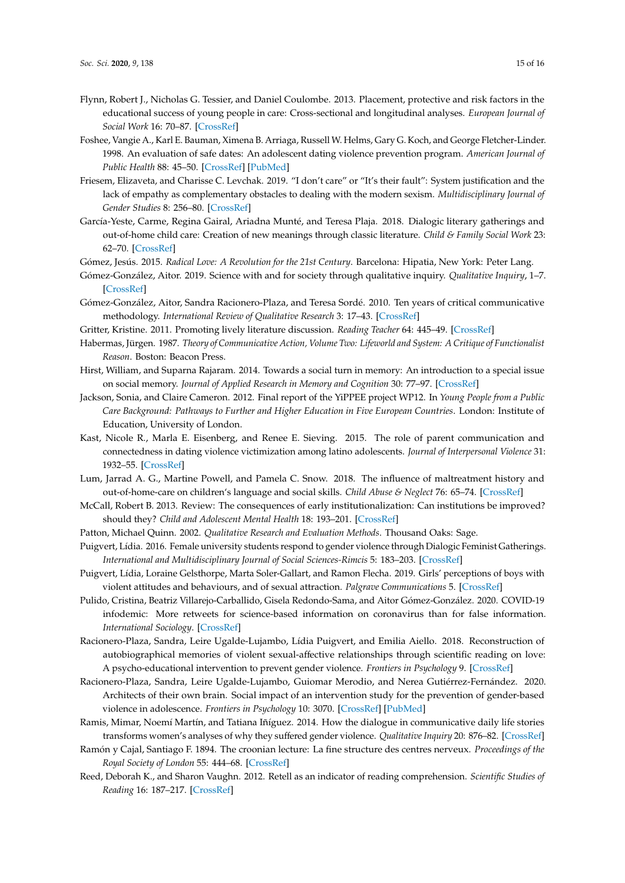- <span id="page-14-1"></span>Flynn, Robert J., Nicholas G. Tessier, and Daniel Coulombe. 2013. Placement, protective and risk factors in the educational success of young people in care: Cross-sectional and longitudinal analyses. *European Journal of Social Work* 16: 70–87. [\[CrossRef\]](http://dx.doi.org/10.1080/13691457.2012.722985)
- <span id="page-14-10"></span>Foshee, Vangie A., Karl E. Bauman, Ximena B. Arriaga, Russell W. Helms, Gary G. Koch, and George Fletcher-Linder. 1998. An evaluation of safe dates: An adolescent dating violence prevention program. *American Journal of Public Health* 88: 45–50. [\[CrossRef\]](http://dx.doi.org/10.2105/AJPH.88.1.45) [\[PubMed\]](http://www.ncbi.nlm.nih.gov/pubmed/9584032)
- <span id="page-14-19"></span>Friesem, Elizaveta, and Charisse C. Levchak. 2019. "I don't care" or "It's their fault": System justification and the lack of empathy as complementary obstacles to dealing with the modern sexism. *Multidisciplinary Journal of Gender Studies* 8: 256–80. [\[CrossRef\]](http://dx.doi.org/10.17583/generos.2019.4699)
- <span id="page-14-6"></span>García-Yeste, Carme, Regina Gairal, Ariadna Munté, and Teresa Plaja. 2018. Dialogic literary gatherings and out-of-home child care: Creation of new meanings through classic literature. *Child & Family Social Work* 23: 62–70. [\[CrossRef\]](http://dx.doi.org/10.1111/cfs.12384)

<span id="page-14-4"></span>Gómez, Jesús. 2015. *Radical Love: A Revolution for the 21st Century*. Barcelona: Hipatia, New York: Peter Lang.

- <span id="page-14-16"></span>Gómez-González, Aitor. 2019. Science with and for society through qualitative inquiry. *Qualitative Inquiry*, 1–7. [\[CrossRef\]](http://dx.doi.org/10.1177/1077800419863006)
- <span id="page-14-15"></span>Gómez-González, Aitor, Sandra Racionero-Plaza, and Teresa Sordé. 2010. Ten years of critical communicative methodology. *International Review of Qualitative Research* 3: 17–43. [\[CrossRef\]](http://dx.doi.org/10.1525/irqr.2010.3.1.17)
- <span id="page-14-22"></span><span id="page-14-20"></span>Gritter, Kristine. 2011. Promoting lively literature discussion. *Reading Teacher* 64: 445–49. [\[CrossRef\]](http://dx.doi.org/10.1598/RT.64.6.7)
- Habermas, Jürgen. 1987. *Theory of Communicative Action, Volume Two: Lifeworld and System: A Critique of Functionalist Reason*. Boston: Beacon Press.
- <span id="page-14-12"></span>Hirst, William, and Suparna Rajaram. 2014. Towards a social turn in memory: An introduction to a special issue on social memory. *Journal of Applied Research in Memory and Cognition* 30: 77–97. [\[CrossRef\]](http://dx.doi.org/10.1016/j.jarmac.2014.10.001)
- <span id="page-14-7"></span>Jackson, Sonia, and Claire Cameron. 2012. Final report of the YiPPEE project WP12. In *Young People from a Public Care Background: Pathways to Further and Higher Education in Five European Countries*. London: Institute of Education, University of London.
- <span id="page-14-11"></span>Kast, Nicole R., Marla E. Eisenberg, and Renee E. Sieving. 2015. The role of parent communication and connectedness in dating violence victimization among latino adolescents. *Journal of Interpersonal Violence* 31: 1932–55. [\[CrossRef\]](http://dx.doi.org/10.1177/0886260515570750)
- <span id="page-14-0"></span>Lum, Jarrad A. G., Martine Powell, and Pamela C. Snow. 2018. The influence of maltreatment history and out-of-home-care on children's language and social skills. *Child Abuse & Neglect* 76: 65–74. [\[CrossRef\]](http://dx.doi.org/10.1016/j.chiabu.2017.10.008)
- <span id="page-14-18"></span>McCall, Robert B. 2013. Review: The consequences of early institutionalization: Can institutions be improved? should they? *Child and Adolescent Mental Health* 18: 193–201. [\[CrossRef\]](http://dx.doi.org/10.1111/camh.12025)
- <span id="page-14-17"></span>Patton, Michael Quinn. 2002. *Qualitative Research and Evaluation Methods*. Thousand Oaks: Sage.
- <span id="page-14-8"></span>Puigvert, Lídia. 2016. Female university students respond to gender violence through Dialogic Feminist Gatherings. *International and Multidisciplinary Journal of Social Sciences-Rimcis* 5: 183–203. [\[CrossRef\]](http://dx.doi.org/10.17583/rimcis.2016.2118)
- <span id="page-14-2"></span>Puigvert, Lídia, Loraine Gelsthorpe, Marta Soler-Gallart, and Ramon Flecha. 2019. Girls' perceptions of boys with violent attitudes and behaviours, and of sexual attraction. *Palgrave Communications* 5. [\[CrossRef\]](http://dx.doi.org/10.1057/s41599-019-0262-5)
- <span id="page-14-5"></span>Pulido, Cristina, Beatriz Villarejo-Carballido, Gisela Redondo-Sama, and Aitor Gómez-González. 2020. COVID-19 infodemic: More retweets for science-based information on coronavirus than for false information. *International Sociology*. [\[CrossRef\]](http://dx.doi.org/10.1177/0268580920914755)
- <span id="page-14-9"></span>Racionero-Plaza, Sandra, Leire Ugalde-Lujambo, Lídia Puigvert, and Emilia Aiello. 2018. Reconstruction of autobiographical memories of violent sexual-affective relationships through scientific reading on love: A psycho-educational intervention to prevent gender violence. *Frontiers in Psychology* 9. [\[CrossRef\]](http://dx.doi.org/10.3389/fpsyg.2018.01996)
- <span id="page-14-3"></span>Racionero-Plaza, Sandra, Leire Ugalde-Lujambo, Guiomar Merodio, and Nerea Gutiérrez-Fernández. 2020. Architects of their own brain. Social impact of an intervention study for the prevention of gender-based violence in adolescence. *Frontiers in Psychology* 10: 3070. [\[CrossRef\]](http://dx.doi.org/10.3389/fpsyg.2019.03070) [\[PubMed\]](http://www.ncbi.nlm.nih.gov/pubmed/32116875)
- <span id="page-14-14"></span>Ramis, Mimar, Noemí Martín, and Tatiana Iñíguez. 2014. How the dialogue in communicative daily life stories transforms women's analyses of why they suffered gender violence. *Qualitative Inquiry* 20: 876–82. [\[CrossRef\]](http://dx.doi.org/10.1177/1077800414537210)
- <span id="page-14-13"></span>Ramón y Cajal, Santiago F. 1894. The croonian lecture: La fine structure des centres nerveux. *Proceedings of the Royal Society of London* 55: 444–68. [\[CrossRef\]](http://dx.doi.org/10.1098/rspl.1894.0063)
- <span id="page-14-21"></span>Reed, Deborah K., and Sharon Vaughn. 2012. Retell as an indicator of reading comprehension. *Scientific Studies of Reading* 16: 187–217. [\[CrossRef\]](http://dx.doi.org/10.1080/10888438.2010.538780)